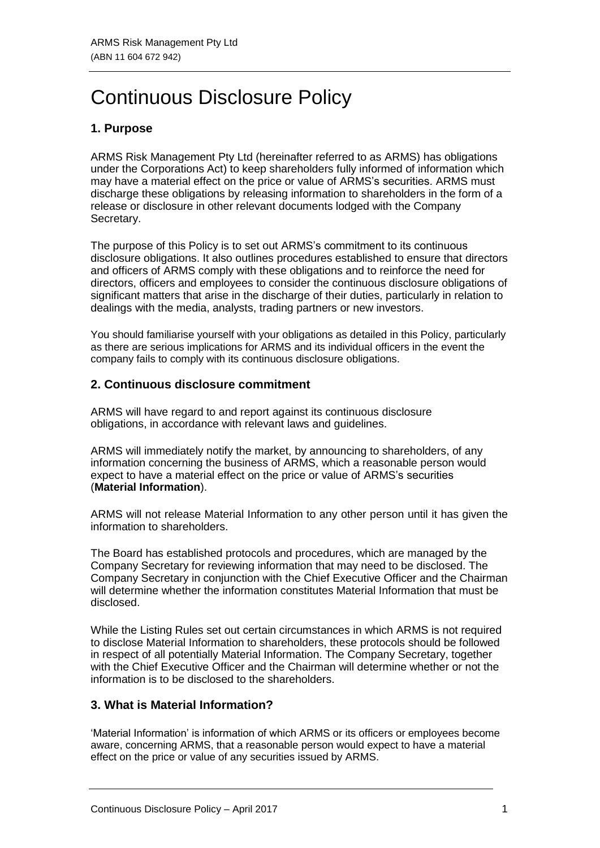# Continuous Disclosure Policy

# **1. Purpose**

ARMS Risk Management Pty Ltd (hereinafter referred to as ARMS) has obligations under the Corporations Act) to keep shareholders fully informed of information which may have a material effect on the price or value of ARMS's securities. ARMS must discharge these obligations by releasing information to shareholders in the form of a release or disclosure in other relevant documents lodged with the Company Secretary.

The purpose of this Policy is to set out ARMS's commitment to its continuous disclosure obligations. It also outlines procedures established to ensure that directors and officers of ARMS comply with these obligations and to reinforce the need for directors, officers and employees to consider the continuous disclosure obligations of significant matters that arise in the discharge of their duties, particularly in relation to dealings with the media, analysts, trading partners or new investors.

You should familiarise yourself with your obligations as detailed in this Policy, particularly as there are serious implications for ARMS and its individual officers in the event the company fails to comply with its continuous disclosure obligations.

### **2. Continuous disclosure commitment**

ARMS will have regard to and report against its continuous disclosure obligations, in accordance with relevant laws and guidelines.

ARMS will immediately notify the market, by announcing to shareholders, of any information concerning the business of ARMS, which a reasonable person would expect to have a material effect on the price or value of ARMS's securities (**Material Information**).

ARMS will not release Material Information to any other person until it has given the information to shareholders.

The Board has established protocols and procedures, which are managed by the Company Secretary for reviewing information that may need to be disclosed. The Company Secretary in conjunction with the Chief Executive Officer and the Chairman will determine whether the information constitutes Material Information that must be disclosed.

While the Listing Rules set out certain circumstances in which ARMS is not required to disclose Material Information to shareholders, these protocols should be followed in respect of all potentially Material Information. The Company Secretary, together with the Chief Executive Officer and the Chairman will determine whether or not the information is to be disclosed to the shareholders.

# **3. What is Material Information?**

'Material Information' is information of which ARMS or its officers or employees become aware, concerning ARMS, that a reasonable person would expect to have a material effect on the price or value of any securities issued by ARMS.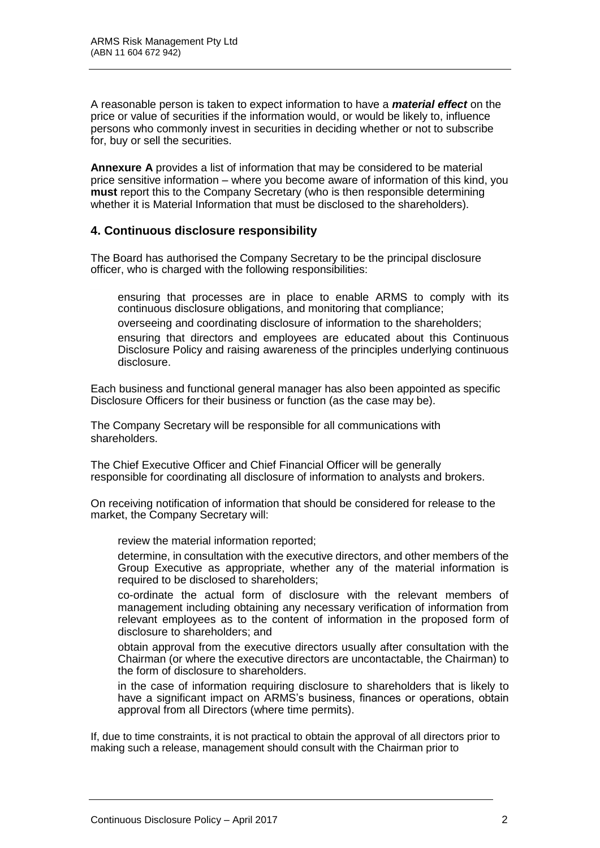A reasonable person is taken to expect information to have a *material effect* on the price or value of securities if the information would, or would be likely to, influence persons who commonly invest in securities in deciding whether or not to subscribe for, buy or sell the securities.

**Annexure A** provides a list of information that may be considered to be material price sensitive information – where you become aware of information of this kind, you **must** report this to the Company Secretary (who is then responsible determining whether it is Material Information that must be disclosed to the shareholders).

#### **4. Continuous disclosure responsibility**

The Board has authorised the Company Secretary to be the principal disclosure officer, who is charged with the following responsibilities:

- ensuring that processes are in place to enable ARMS to comply with its continuous disclosure obligations, and monitoring that compliance;
- overseeing and coordinating disclosure of information to the shareholders;
- ensuring that directors and employees are educated about this Continuous Disclosure Policy and raising awareness of the principles underlying continuous disclosure.

Each business and functional general manager has also been appointed as specific Disclosure Officers for their business or function (as the case may be).

The Company Secretary will be responsible for all communications with shareholders.

The Chief Executive Officer and Chief Financial Officer will be generally responsible for coordinating all disclosure of information to analysts and brokers.

On receiving notification of information that should be considered for release to the market, the Company Secretary will:

- review the material information reported;
- determine, in consultation with the executive directors, and other members of the Group Executive as appropriate, whether any of the material information is required to be disclosed to shareholders;
- co-ordinate the actual form of disclosure with the relevant members of management including obtaining any necessary verification of information from relevant employees as to the content of information in the proposed form of disclosure to shareholders; and
- obtain approval from the executive directors usually after consultation with the Chairman (or where the executive directors are uncontactable, the Chairman) to the form of disclosure to shareholders.
- in the case of information requiring disclosure to shareholders that is likely to have a significant impact on ARMS's business, finances or operations, obtain approval from all Directors (where time permits).

If, due to time constraints, it is not practical to obtain the approval of all directors prior to making such a release, management should consult with the Chairman prior to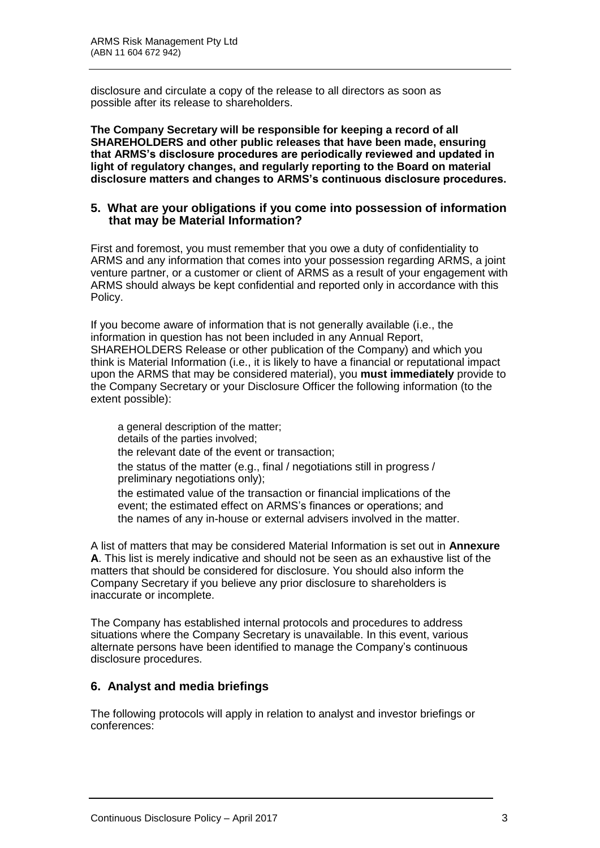disclosure and circulate a copy of the release to all directors as soon as possible after its release to shareholders.

**The Company Secretary will be responsible for keeping a record of all SHAREHOLDERS and other public releases that have been made, ensuring that ARMS's disclosure procedures are periodically reviewed and updated in light of regulatory changes, and regularly reporting to the Board on material disclosure matters and changes to ARMS's continuous disclosure procedures.**

#### **5. What are your obligations if you come into possession of information that may be Material Information?**

First and foremost, you must remember that you owe a duty of confidentiality to ARMS and any information that comes into your possession regarding ARMS, a joint venture partner, or a customer or client of ARMS as a result of your engagement with ARMS should always be kept confidential and reported only in accordance with this Policy.

If you become aware of information that is not generally available (i.e., the information in question has not been included in any Annual Report, SHAREHOLDERS Release or other publication of the Company) and which you think is Material Information (i.e., it is likely to have a financial or reputational impact upon the ARMS that may be considered material), you **must immediately** provide to the Company Secretary or your Disclosure Officer the following information (to the extent possible):

a general description of the matter; details of the parties involved; the relevant date of the event or transaction; the status of the matter (e.g., final / negotiations still in progress / preliminary negotiations only); the estimated value of the transaction or financial implications of the event; the estimated effect on ARMS's finances or operations; and the names of any in-house or external advisers involved in the matter.

A list of matters that may be considered Material Information is set out in **Annexure A**. This list is merely indicative and should not be seen as an exhaustive list of the matters that should be considered for disclosure. You should also inform the Company Secretary if you believe any prior disclosure to shareholders is inaccurate or incomplete.

The Company has established internal protocols and procedures to address situations where the Company Secretary is unavailable. In this event, various alternate persons have been identified to manage the Company's continuous disclosure procedures.

# **6. Analyst and media briefings**

The following protocols will apply in relation to analyst and investor briefings or conferences: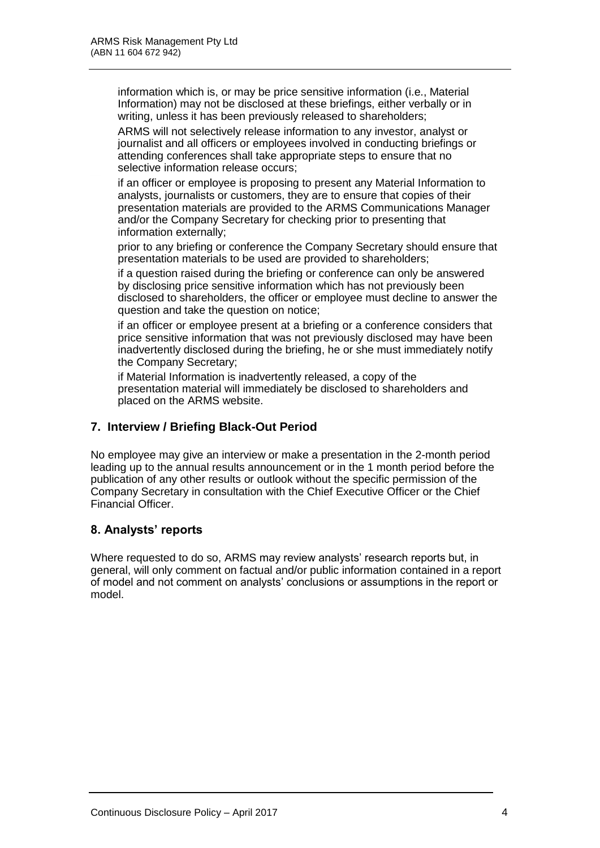information which is, or may be price sensitive information (i.e., Material Information) may not be disclosed at these briefings, either verbally or in writing, unless it has been previously released to shareholders;

ARMS will not selectively release information to any investor, analyst or journalist and all officers or employees involved in conducting briefings or attending conferences shall take appropriate steps to ensure that no selective information release occurs;

if an officer or employee is proposing to present any Material Information to analysts, journalists or customers, they are to ensure that copies of their presentation materials are provided to the ARMS Communications Manager and/or the Company Secretary for checking prior to presenting that information externally;

prior to any briefing or conference the Company Secretary should ensure that presentation materials to be used are provided to shareholders;

if a question raised during the briefing or conference can only be answered by disclosing price sensitive information which has not previously been disclosed to shareholders, the officer or employee must decline to answer the question and take the question on notice;

if an officer or employee present at a briefing or a conference considers that price sensitive information that was not previously disclosed may have been inadvertently disclosed during the briefing, he or she must immediately notify the Company Secretary;

if Material Information is inadvertently released, a copy of the presentation material will immediately be disclosed to shareholders and placed on the ARMS website.

## **7. Interview / Briefing Black-Out Period**

No employee may give an interview or make a presentation in the 2-month period leading up to the annual results announcement or in the 1 month period before the publication of any other results or outlook without the specific permission of the Company Secretary in consultation with the Chief Executive Officer or the Chief Financial Officer.

### **8. Analysts' reports**

Where requested to do so, ARMS may review analysts' research reports but, in general, will only comment on factual and/or public information contained in a report of model and not comment on analysts' conclusions or assumptions in the report or model.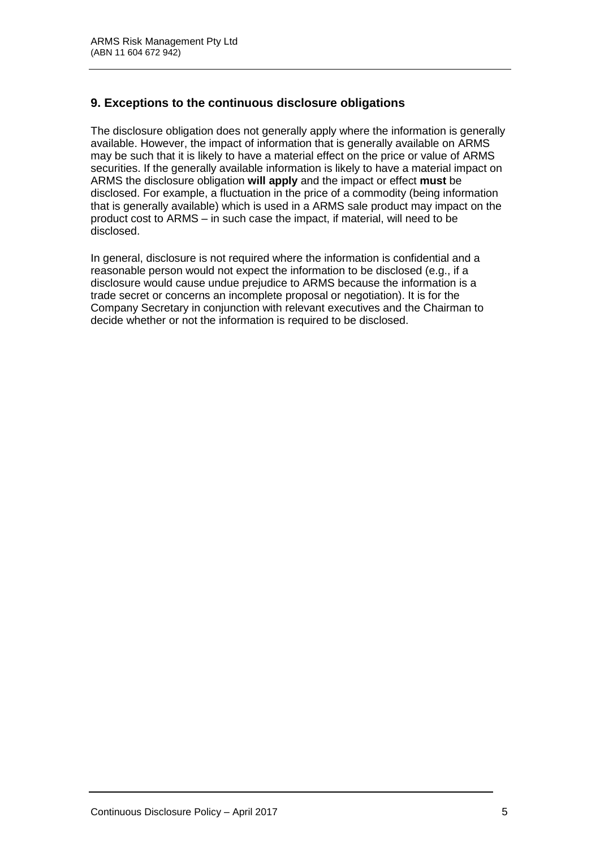## **9. Exceptions to the continuous disclosure obligations**

The disclosure obligation does not generally apply where the information is generally available. However, the impact of information that is generally available on ARMS may be such that it is likely to have a material effect on the price or value of ARMS securities. If the generally available information is likely to have a material impact on ARMS the disclosure obligation **will apply** and the impact or effect **must** be disclosed. For example, a fluctuation in the price of a commodity (being information that is generally available) which is used in a ARMS sale product may impact on the product cost to ARMS – in such case the impact, if material, will need to be disclosed.

In general, disclosure is not required where the information is confidential and a reasonable person would not expect the information to be disclosed (e.g., if a disclosure would cause undue prejudice to ARMS because the information is a trade secret or concerns an incomplete proposal or negotiation). It is for the Company Secretary in conjunction with relevant executives and the Chairman to decide whether or not the information is required to be disclosed.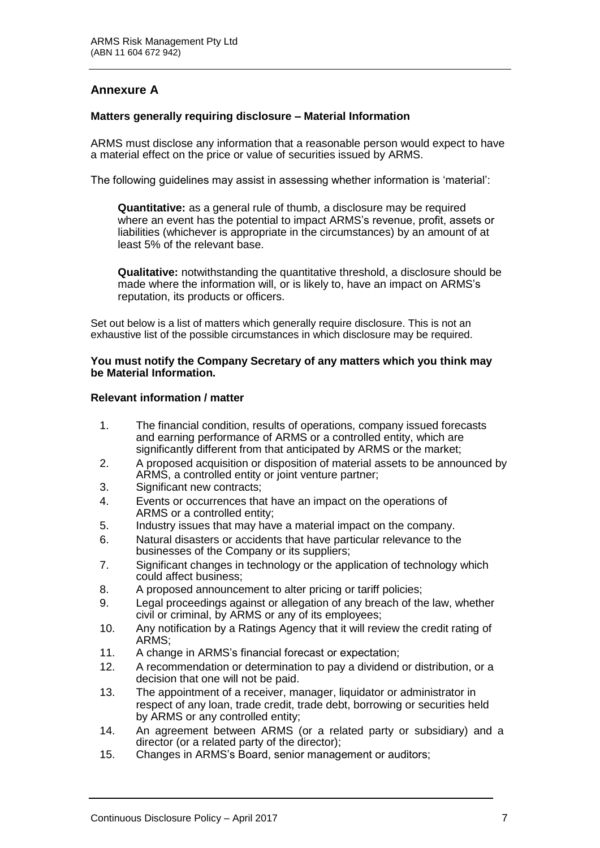## **Annexure A**

#### **Matters generally requiring disclosure – Material Information**

ARMS must disclose any information that a reasonable person would expect to have a material effect on the price or value of securities issued by ARMS.

The following guidelines may assist in assessing whether information is 'material':

**Quantitative:** as a general rule of thumb, a disclosure may be required where an event has the potential to impact ARMS's revenue, profit, assets or liabilities (whichever is appropriate in the circumstances) by an amount of at least 5% of the relevant base.

**Qualitative:** notwithstanding the quantitative threshold, a disclosure should be made where the information will, or is likely to, have an impact on ARMS's reputation, its products or officers.

Set out below is a list of matters which generally require disclosure. This is not an exhaustive list of the possible circumstances in which disclosure may be required.

#### **You must notify the Company Secretary of any matters which you think may be Material Information.**

#### **Relevant information / matter**

- 1. The financial condition, results of operations, company issued forecasts and earning performance of ARMS or a controlled entity, which are significantly different from that anticipated by ARMS or the market;
- 2. A proposed acquisition or disposition of material assets to be announced by ARMS, a controlled entity or joint venture partner;
- 3. Significant new contracts;
- 4. Events or occurrences that have an impact on the operations of ARMS or a controlled entity;
- 5. Industry issues that may have a material impact on the company.
- 6. Natural disasters or accidents that have particular relevance to the businesses of the Company or its suppliers;
- 7. Significant changes in technology or the application of technology which could affect business;
- 8. A proposed announcement to alter pricing or tariff policies;
- 9. Legal proceedings against or allegation of any breach of the law, whether civil or criminal, by ARMS or any of its employees;
- 10. Any notification by a Ratings Agency that it will review the credit rating of ARMS;
- 11. A change in ARMS's financial forecast or expectation;
- 12. A recommendation or determination to pay a dividend or distribution, or a decision that one will not be paid.
- 13. The appointment of a receiver, manager, liquidator or administrator in respect of any loan, trade credit, trade debt, borrowing or securities held by ARMS or any controlled entity;
- 14. An agreement between ARMS (or a related party or subsidiary) and a director (or a related party of the director);
- 15. Changes in ARMS's Board, senior management or auditors;